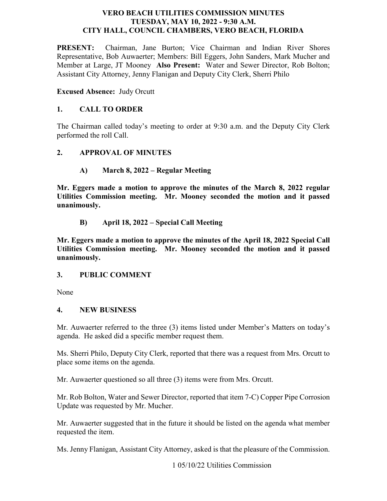#### **VERO BEACH UTILITIES COMMISSION MINUTES TUESDAY, MAY 10, 2022 - 9:30 A.M. CITY HALL, COUNCIL CHAMBERS, VERO BEACH, FLORIDA**

**PRESENT:**  Representative, Bob Auwaerter; Members: Bill Eggers, John Sanders, Mark Mucher and Member at Large, JT Mooney **Also Present:** Water and Sewer Director, Rob Bolton; Assistant City Attorney, Jenny Flanigan and Deputy City Clerk, Sherri Philo Chairman, Jane Burton; Vice Chairman and Indian River Shores

 **Excused Absence:** Judy Orcutt

### **1. CALL TO ORDER**

The Chairman called today's meeting to order at 9:30 a.m. and the Deputy City Clerk performed the roll Call.

#### **2. APPROVAL OF MINUTES**

### **A) March 8, 2022 – Regular Meeting**

 **Mr. Eggers made a motion to approve the minutes of the March 8, 2022 regular Utilities Commission meeting. Mr. Mooney seconded the motion and it passed unanimously.** 

**B) April 18, 2022 – Special Call Meeting** 

 **Mr. Eggers made a motion to approve the minutes of the April 18, 2022 Special Call Utilities Commission meeting. Mr. Mooney seconded the motion and it passed unanimously.** 

### **3. PUBLIC COMMENT**

None

#### **4. NEW BUSINESS**

 Mr. Auwaerter referred to the three (3) items listed under Member's Matters on today's agenda. He asked did a specific member request them.

place some items on the agenda. Ms. Sherri Philo, Deputy City Clerk, reported that there was a request from Mrs. Orcutt to

Mr. Auwaerter questioned so all three  $(3)$  items were from Mrs. Orcutt.

 Mr. Rob Bolton, Water and Sewer Director, reported that item 7-C) Copper Pipe Corrosion Update was requested by Mr. Mucher.

requested the item. Mr. Auwaerter suggested that in the future it should be listed on the agenda what member

requested the item.<br>Ms. Jenny Flanigan, Assistant City Attorney, asked is that the pleasure of the Commission.<br>1 05/10/22 Utilities Commission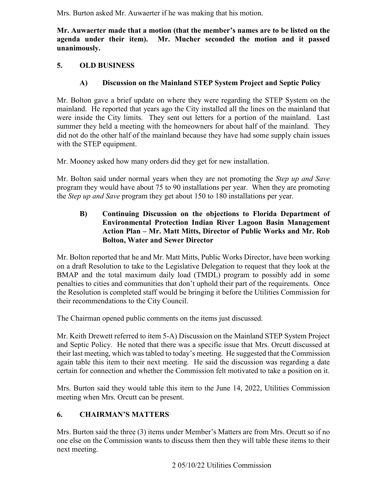Mrs. Burton asked Mr. Auwaerter if he was making that his motion.

 **Mr. Auwaerter made that a motion (that the member's names are to be listed on the agenda under their item). Mr. Mucher seconded the motion and it passed unanimously.** 

# **5. OLD BUSINESS**

# **A) Discussion on the Mainland STEP System Project and Septic Policy**

 Mr. Bolton gave a brief update on where they were regarding the STEP System on the mainland. He reported that years ago the City installed all the lines on the mainland that were inside the City limits. They sent out letters for a portion of the mainland. Last summer they held a meeting with the homeowners for about half of the mainland. They did not do the other half of the mainland because they have had some supply chain issues with the STEP equipment.

Mr. Mooney asked how many orders did they get for new installation.

 Mr. Bolton said under normal years when they are not promoting the *Step up and Save*  the *Step up and Save* program they get about 150 to 180 installations per year. program they would have about 75 to 90 installations per year. When they are promoting

### **B) Continuing Discussion on the objections to Florida Department of Environmental Protection Indian River Lagoon Basin Management Action Plan – Mr. Matt Mitts, Director of Public Works and Mr. Rob Bolton, Water and Sewer Director**

Mr. Bolton reported that he and Mr. Matt Mitts, Public Works Director, have been working on a draft Resolution to take to the Legislative Delegation to request that they look at the BMAP and the total maximum daily load (TMDL) program to possibly add in some penalties to cities and communities that don't uphold their part of the requirements. Once the Resolution is completed staff would be bringing it before the Utilities Commission for their recommendations to the City Council.

The Chairman opened public comments on the items just discussed.

Mr. Keith Drewett referred to item 5-A) Discussion on the Mainland STEP System Project and Septic Policy. He noted that there was a specific issue that Mrs. Orcutt discussed at their last meeting, which was tabled to today's meeting. He suggested that the Commission again table this item to their next meeting. He said the discussion was regarding a date certain for connection and whether the Commission felt motivated to take a position on it.

 meeting when Mrs. Orcutt can be present. Mrs. Burton said they would table this item to the June 14, 2022, Utilities Commission

# **6. CHAIRMAN'S MATTERS**

 one else on the Commission wants to discuss them then they will table these items to their Mrs. Burton said the three (3) items under Member's Matters are from Mrs. Orcutt so if no next meeting.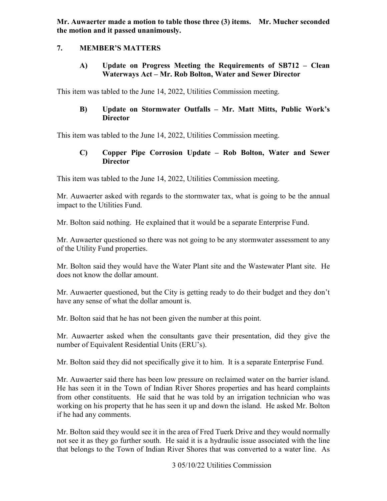**Mr. Auwaerter made a motion to table those three (3) items. Mr. Mucher seconded the motion and it passed unanimously.** 

### **7. MEMBER'S MATTERS**

 **A) Update on Progress Meeting the Requirements of SB712 – Clean Waterways Act – Mr. Rob Bolton, Water and Sewer Director** 

This item was tabled to the June 14, 2022, Utilities Commission meeting.

## **B) Update on Stormwater Outfalls – Mr. Matt Mitts, Public Work's Director**

This item was tabled to the June 14, 2022, Utilities Commission meeting.

## **C) Copper Pipe Corrosion Update – Rob Bolton, Water and Sewer Director**

This item was tabled to the June 14, 2022, Utilities Commission meeting.

Mr. Auwaerter asked with regards to the stormwater tax, what is going to be the annual impact to the Utilities Fund.

Mr. Bolton said nothing. He explained that it would be a separate Enterprise Fund.

Mr. Auwaerter questioned so there was not going to be any stormwater assessment to any of the Utility Fund properties.

 does not know the dollar amount. Mr. Bolton said they would have the Water Plant site and the Wastewater Plant site. He

 Mr. Auwaerter questioned, but the City is getting ready to do their budget and they don't have any sense of what the dollar amount is.

Mr. Bolton said that he has not been given the number at this point.

 Mr. Auwaerter asked when the consultants gave their presentation, did they give the number of Equivalent Residential Units (ERU's).

Mr. Bolton said they did not specifically give it to him. It is a separate Enterprise Fund.

Mr. Auwaerter said there has been low pressure on reclaimed water on the barrier island. He has seen it in the Town of Indian River Shores properties and has heard complaints from other constituents. He said that he was told by an irrigation technician who was working on his property that he has seen it up and down the island. He asked Mr. Bolton if he had any comments.

 not see it as they go further south. He said it is a hydraulic issue associated with the line Mr. Bolton said they would see it in the area of Fred Tuerk Drive and they would normally that belongs to the Town of Indian River Shores that was converted to a water line. As

3 05/10/22 Utilities Commission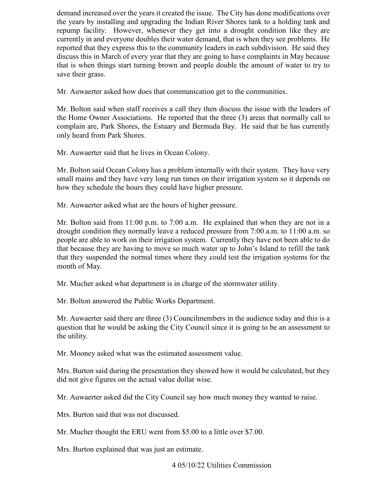discuss this in March of every year that they are going to have complaints in May because save their grass. demand increased over the years it created the issue. The City has done modifications over the years by installing and upgrading the Indian River Shores tank to a holding tank and repump facility. However, whenever they get into a drought condition like they are currently in and everyone doubles their water demand, that is when they see problems. He reported that they express this to the community leaders in each subdivision. He said they that is when things start turning brown and people double the amount of water to try to

Mr. Auwaerter asked how does that communication get to the communities.

Mr. Bolton said when staff receives a call they then discuss the issue with the leaders of the Home Owner Associations. He reported that the three (3) areas that normally call to complain are, Park Shores, the Estuary and Bermuda Bay. He said that he has currently only heard from Park Shores.

Mr. Auwaerter said that he lives in Ocean Colony.

 how they schedule the hours they could have higher pressure. Mr. Bolton said Ocean Colony has a problem internally with their system. They have very small mains and they have very long run times on their irrigation system so it depends on

Mr. Auwaerter asked what are the hours of higher pressure.

Mr. Auwaerter asked what are the hours of higher pressure.<br>Mr. Bolton said from 11:00 p.m. to 7:00 a.m. He explained that when they are not in a people are able to work on their irrigation system. Currently they have not been able to do drought condition they normally leave a reduced pressure from 7:00 a.m. to 11:00 a.m. so that because they are having to move so much water up to John's Island to refill the tank that they suspended the normal times where they could test the irrigation systems for the month of May.

Mr. Mucher asked what department is in charge of the stormwater utility.

Mr. Bolton answered the Public Works Department.

Mr. Auwaerter said there are three (3) Councilmembers in the audience today and this is a question that he would be asking the City Council since it is going to be an assessment to the utility.

Mr. Mooney asked what was the estimated assessment value.

Mrs. Burton said during the presentation they showed how it would be calculated, but they did not give figures on the actual value dollar wise.

Mr. Auwaerter asked did the City Council say how much money they wanted to raise.

Mrs. Burton said that was not discussed.

Mr. Mucher thought the ERU went from \$5.00 to a little over \$7.00.

Mrs. Burton explained that was just an estimate.<br>4 05/10/22 Utilities Commission